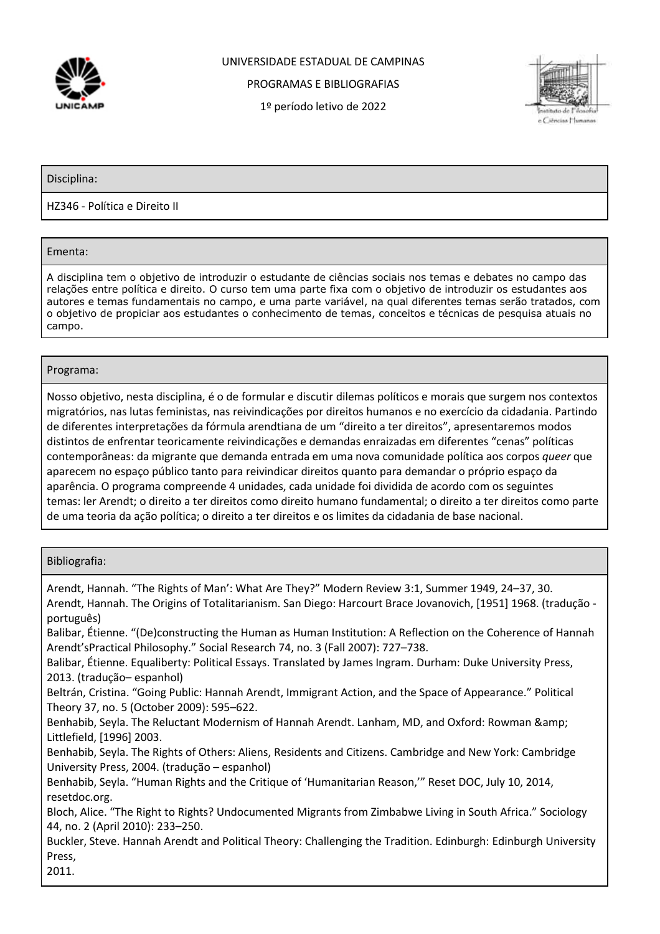

## UNIVERSIDADE ESTADUAL DE CAMPINAS

PROGRAMAS E BIBLIOGRAFIAS

1º período letivo de 2022



Disciplina:

HZ346 - Política e Direito II

Ementa:

A disciplina tem o objetivo de introduzir o estudante de ciências sociais nos temas e debates no campo das relações entre política e direito. O curso tem uma parte fixa com o objetivo de introduzir os estudantes aos autores e temas fundamentais no campo, e uma parte variável, na qual diferentes temas serão tratados, com o objetivo de propiciar aos estudantes o conhecimento de temas, conceitos e técnicas de pesquisa atuais no campo.

## Programa:

Nosso objetivo, nesta disciplina, é o de formular e discutir dilemas políticos e morais que surgem nos contextos migratórios, nas lutas feministas, nas reivindicações por direitos humanos e no exercício da cidadania. Partindo de diferentes interpretações da fórmula arendtiana de um "direito a ter direitos", apresentaremos modos distintos de enfrentar teoricamente reivindicações e demandas enraizadas em diferentes "cenas" políticas contemporâneas: da migrante que demanda entrada em uma nova comunidade política aos corpos *queer* que aparecem no espaço público tanto para reivindicar direitos quanto para demandar o próprio espaço da aparência. O programa compreende 4 unidades, cada unidade foi dividida de acordo com os seguintes temas: ler Arendt; o direito a ter direitos como direito humano fundamental; o direito a ter direitos como parte de uma teoria da ação política; o direito a ter direitos e os limites da cidadania de base nacional.

Bibliografia:

Arendt, Hannah. "The Rights of Man': What Are They?" Modern Review 3:1, Summer 1949, 24–37, 30. Arendt, Hannah. The Origins of Totalitarianism. San Diego: Harcourt Brace Jovanovich, [1951] 1968. (tradução português) Balibar, Étienne. "(De)constructing the Human as Human Institution: A Reflection on the Coherence of Hannah Arendt'sPractical Philosophy." Social Research 74, no. 3 (Fall 2007): 727–738. Balibar, Étienne. Equaliberty: Political Essays. Translated by James Ingram. Durham: Duke University Press, 2013. (tradução– espanhol) Beltrán, Cristina. "Going Public: Hannah Arendt, Immigrant Action, and the Space of Appearance." Political Theory 37, no. 5 (October 2009): 595–622. Benhabib, Seyla. The Reluctant Modernism of Hannah Arendt. Lanham, MD, and Oxford: Rowman & Littlefield, [1996] 2003. Benhabib, Seyla. The Rights of Others: Aliens, Residents and Citizens. Cambridge and New York: Cambridge University Press, 2004. (tradução – espanhol) Benhabib, Seyla. "Human Rights and the Critique of 'Humanitarian Reason,'" Reset DOC, July 10, 2014, resetdoc.org. Bloch, Alice. "The Right to Rights? Undocumented Migrants from Zimbabwe Living in South Africa." Sociology 44, no. 2 (April 2010): 233–250. Buckler, Steve. Hannah Arendt and Political Theory: Challenging the Tradition. Edinburgh: Edinburgh University Press, 2011.